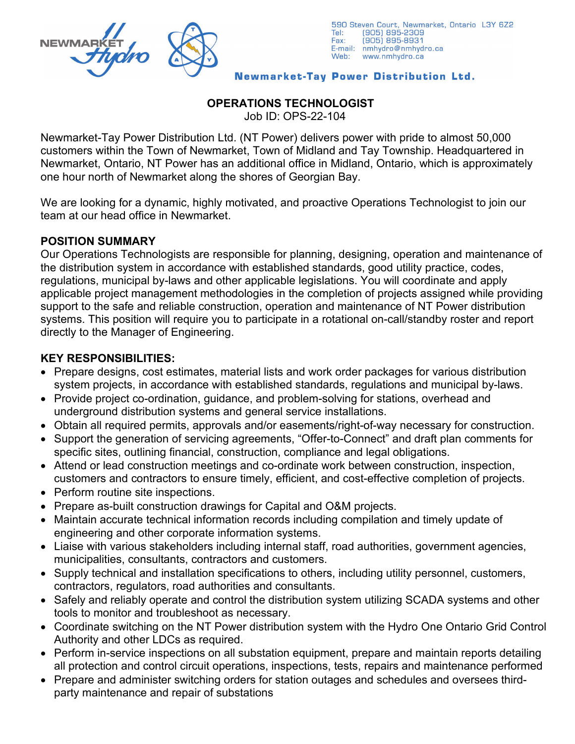

#### Newmarket-Tay Power Distribution Ltd.

# **OPERATIONS TECHNOLOGIST**

Job ID: OPS-22-104

Newmarket-Tay Power Distribution Ltd. (NT Power) delivers power with pride to almost 50,000 customers within the Town of Newmarket, Town of Midland and Tay Township. Headquartered in Newmarket, Ontario, NT Power has an additional office in Midland, Ontario, which is approximately one hour north of Newmarket along the shores of Georgian Bay.

We are looking for a dynamic, highly motivated, and proactive Operations Technologist to join our team at our head office in Newmarket.

#### **POSITION SUMMARY**

Our Operations Technologists are responsible for planning, designing, operation and maintenance of the distribution system in accordance with established standards, good utility practice, codes, regulations, municipal by-laws and other applicable legislations. You will coordinate and apply applicable project management methodologies in the completion of projects assigned while providing support to the safe and reliable construction, operation and maintenance of NT Power distribution systems. This position will require you to participate in a rotational on-call/standby roster and report directly to the Manager of Engineering.

#### **KEY RESPONSIBILITIES:**

- Prepare designs, cost estimates, material lists and work order packages for various distribution system projects, in accordance with established standards, regulations and municipal by-laws.
- Provide project co-ordination, guidance, and problem-solving for stations, overhead and underground distribution systems and general service installations.
- Obtain all required permits, approvals and/or easements/right-of-way necessary for construction.
- Support the generation of servicing agreements, "Offer-to-Connect" and draft plan comments for specific sites, outlining financial, construction, compliance and legal obligations.
- Attend or lead construction meetings and co-ordinate work between construction, inspection, customers and contractors to ensure timely, efficient, and cost-effective completion of projects.
- Perform routine site inspections.
- Prepare as-built construction drawings for Capital and O&M projects.
- Maintain accurate technical information records including compilation and timely update of engineering and other corporate information systems.
- Liaise with various stakeholders including internal staff, road authorities, government agencies, municipalities, consultants, contractors and customers.
- Supply technical and installation specifications to others, including utility personnel, customers, contractors, regulators, road authorities and consultants.
- Safely and reliably operate and control the distribution system utilizing SCADA systems and other tools to monitor and troubleshoot as necessary.
- Coordinate switching on the NT Power distribution system with the Hydro One Ontario Grid Control Authority and other LDCs as required.
- Perform in-service inspections on all substation equipment, prepare and maintain reports detailing all protection and control circuit operations, inspections, tests, repairs and maintenance performed
- Prepare and administer switching orders for station outages and schedules and oversees thirdparty maintenance and repair of substations